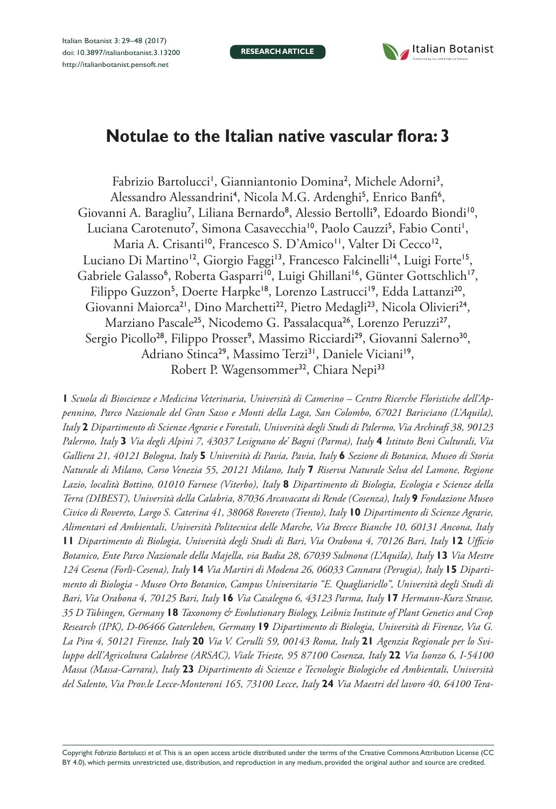**RESEARCH ARTICLE**



# **Notulae to the Italian native vascular flora: 3**

Fabrizio Bartolucci<sup>1</sup>, Gianniantonio Domina<sup>2</sup>, Michele Adorni<sup>3</sup>, Alessandro Alessandrini<sup>4</sup>, Nicola M.G. Ardenghi<sup>5</sup>, Enrico Banfi<sup>6</sup>, Giovanni A. Baragliu<sup>7</sup>, Liliana Bernardo<sup>8</sup>, Alessio Bertolli<sup>9</sup>, Edoardo Biondi<sup>10</sup>, Luciana Carotenuto<sup>7</sup>, Simona Casavecchia<sup>10</sup>, Paolo Cauzzi<sup>5</sup>, Fabio Conti<sup>1</sup>, Maria A. Crisanti<sup>10</sup>, Francesco S. D'Amico<sup>11</sup>, Valter Di Cecco<sup>12</sup>, Luciano Di Martino<sup>12</sup>, Giorgio Faggi<sup>13</sup>, Francesco Falcinelli<sup>14</sup>, Luigi Forte<sup>15</sup>, Gabriele Galasso<sup>6</sup>, Roberta Gasparri<sup>10</sup>, Luigi Ghillani<sup>16</sup>, Günter Gottschlich<sup>17</sup>, Filippo Guzzon<sup>5</sup>, Doerte Harpke<sup>18</sup>, Lorenzo Lastrucci<sup>19</sup>, Edda Lattanzi<sup>20</sup>, Giovanni Maiorca<sup>21</sup>, Dino Marchetti<sup>22</sup>, Pietro Medagli<sup>23</sup>, Nicola Olivieri<sup>24</sup>, Marziano Pascale<sup>25</sup>, Nicodemo G. Passalacqua<sup>26</sup>, Lorenzo Peruzzi<sup>27</sup>, Sergio Picollo<sup>28</sup>, Filippo Prosser<sup>9</sup>, Massimo Ricciardi<sup>29</sup>, Giovanni Salerno<sup>30</sup>, Adriano Stinca<sup>29</sup>, Massimo Terzi<sup>31</sup>, Daniele Viciani<sup>19</sup>, Robert P. Wagensommer<sup>32</sup>, Chiara Nepi<sup>33</sup>

**1** *Scuola di Bioscienze e Medicina Veterinaria, Università di Camerino – Centro Ricerche Floristiche dell'Appennino, Parco Nazionale del Gran Sasso e Monti della Laga, San Colombo, 67021 Barisciano (L'Aquila), Italy* **2** *Dipartimento di Scienze Agrarie e Forestali, Università degli Studi di Palermo, Via Archirafi 38, 90123 Palermo, Italy* **3** *Via degli Alpini 7, 43037 Lesignano de' Bagni (Parma), Italy* **4** *Istituto Beni Culturali, Via Galliera 21, 40121 Bologna, Italy* **5** *Università di Pavia, Pavia, Italy* **6** *Sezione di Botanica, Museo di Storia Naturale di Milano, Corso Venezia 55, 20121 Milano, Italy* **7** *Riserva Naturale Selva del Lamone, Regione Lazio, località Bottino, 01010 Farnese (Viterbo), Italy* **8** *Dipartimento di Biologia, Ecologia e Scienze della Terra (DIBEST), Università della Calabria, 87036 Arcavacata di Rende (Cosenza), Italy* **9** *Fondazione Museo Civico di Rovereto, Largo S. Caterina 41, 38068 Rovereto (Trento), Italy* **10** *Dipartimento di Scienze Agrarie, Alimentari ed Ambientali, Università Politecnica delle Marche, Via Brecce Bianche 10, 60131 Ancona, Italy*  **11** *Dipartimento di Biologia, Università degli Studi di Bari, Via Orabona 4, 70126 Bari, Italy* **12** *Ufficio Botanico, Ente Parco Nazionale della Majella, via Badia 28, 67039 Sulmona (L'Aquila), Italy* **13** *Via Mestre 124 Cesena (Forlì-Cesena), Italy* **14** *Via Martiri di Modena 26, 06033 Cannara (Perugia), Italy* **15** *Dipartimento di Biologia - Museo Orto Botanico, Campus Universitario "E. Quagliariello", Università degli Studi di Bari, Via Orabona 4, 70125 Bari, Italy* **16** *Via Casalegno 6, 43123 Parma, Italy* **17** *Hermann-Kurz Strasse, 35 D Tübingen, Germany* **18** *Taxonomy & Evolutionary Biology, Leibniz Institute of Plant Genetics and Crop Research (IPK), D-06466 Gatersleben, Germany* **19** *Dipartimento di Biologia, Università di Firenze, Via G. La Pira 4, 50121 Firenze, Italy* **20** *Via V. Cerulli 59, 00143 Roma, Italy* **21** *Agenzia Regionale per lo Sviluppo dell'Agricoltura Calabrese (ARSAC), Viale Trieste, 95 87100 Cosenza, Italy* **22** *Via Isonzo 6, I-54100 Massa (Massa-Carrara), Italy* **23** *Dipartimento di Scienze e Tecnologie Biologiche ed Ambientali, Università del Salento, Via Prov.le Lecce-Monteroni 165, 73100 Lecce, Italy* **24** *Via Maestri del lavoro 40, 64100 Tera-*

Copyright *Fabrizio Bartolucci et al.* This is an open access article distributed under the terms of the [Creative Commons Attribution License \(CC](http://creativecommons.org/licenses/by/4.0/)  [BY 4.0\)](http://creativecommons.org/licenses/by/4.0/), which permits unrestricted use, distribution, and reproduction in any medium, provided the original author and source are credited.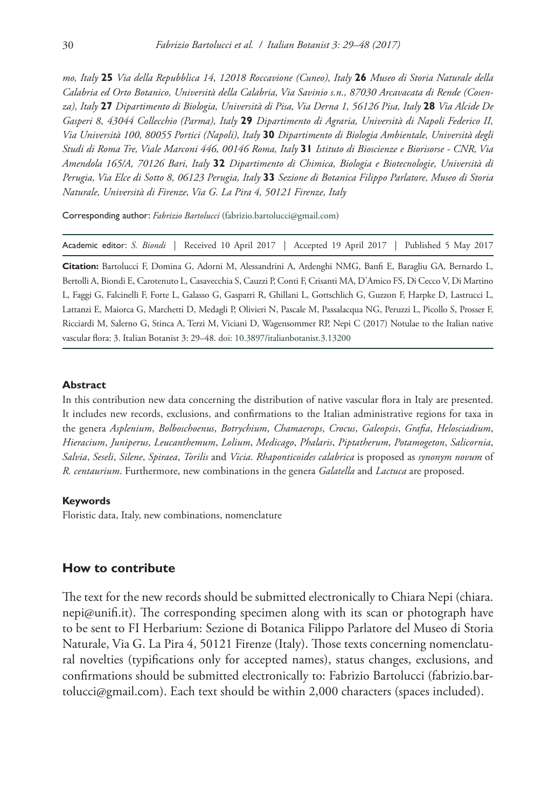*mo, Italy* **25** *Via della Repubblica 14, 12018 Roccavione (Cuneo), Italy* **26** *Museo di Storia Naturale della Calabria ed Orto Botanico, Università della Calabria, Via Savinio s.n., 87030 Arcavacata di Rende (Cosenza), Italy* **27** *Dipartimento di Biologia, Università di Pisa, Via Derna 1, 56126 Pisa, Italy* **28** *Via Alcide De Gasperi 8, 43044 Collecchio (Parma), Italy* **29** *Dipartimento di Agraria, Università di Napoli Federico II, Via Università 100, 80055 Portici (Napoli), Italy* **30** *Dipartimento di Biologia Ambientale, Università degli Studi di Roma Tre, Viale Marconi 446, 00146 Roma, Italy* **31** *Istituto di Bioscienze e Biorisorse - CNR, Via Amendola 165/A, 70126 Bari, Italy* **32** *Dipartimento di Chimica, Biologia e Biotecnologie, Università di Perugia, Via Elce di Sotto 8, 06123 Perugia, Italy* **33** *Sezione di Botanica Filippo Parlatore, Museo di Storia Naturale, Università di Firenze, Via G. La Pira 4, 50121 Firenze, Italy*

Corresponding author: *Fabrizio Bartolucci* [\(fabrizio.bartolucci@gmail.com\)](mailto:fabrizio.bartolucci@gmail.com)

Academic editor: *S. Biondi* | Received 10 April 2017 | Accepted 19 April 2017 | Published 5 May 2017

**Citation:** Bartolucci F, Domina G, Adorni M, Alessandrini A, Ardenghi NMG, Banfi E, Baragliu GA, Bernardo L, Bertolli A, Biondi E, Carotenuto L, Casavecchia S, Cauzzi P, Conti F, Crisanti MA, D'Amico FS, Di Cecco V, Di Martino L, Faggi G, Falcinelli F, Forte L, Galasso G, Gasparri R, Ghillani L, Gottschlich G, Guzzon F, Harpke D, Lastrucci L, Lattanzi E, Maiorca G, Marchetti D, Medagli P, Olivieri N, Pascale M, Passalacqua NG, Peruzzi L, Picollo S, Prosser F, Ricciardi M, Salerno G, Stinca A, Terzi M, Viciani D, Wagensommer RP, Nepi C (2017) Notulae to the Italian native vascular flora: 3. Italian Botanist 3: 29–48. [doi: 10.3897/italianbotanist.3.13200](https://doi.org/10.3897/italianbotanist.3.13200)

#### **Abstract**

In this contribution new data concerning the distribution of native vascular flora in Italy are presented. It includes new records, exclusions, and confirmations to the Italian administrative regions for taxa in the genera *Asplenium*, *Bolboschoenus*, *Botrychium*, *Chamaerops*, *Crocus*, *Galeopsis*, *Grafia*, *Helosciadium*, *Hieracium*, *Juniperus*, *Leucanthemum*, *Lolium*, *Medicago*, *Phalaris*, *Piptatherum*, *Potamogeton*, *Salicornia*, *Salvia*, *Seseli*, *Silene*, *Spiraea*, *Torilis* and *Vicia*. *Rhaponticoides calabrica* is proposed as *synonym novum* of *R. centaurium*. Furthermore, new combinations in the genera *Galatella* and *Lactuca* are proposed.

#### **Keywords**

Floristic data, Italy, new combinations, nomenclature

#### **How to contribute**

The text for the new records should be submitted electronically to Chiara Nepi [\(chiara.](mailto:chiara.nepi@unifi.it) [nepi@unifi.it](mailto:chiara.nepi@unifi.it)). The corresponding specimen along with its scan or photograph have to be sent to FI Herbarium: Sezione di Botanica Filippo Parlatore del Museo di Storia Naturale, Via G. La Pira 4, 50121 Firenze (Italy). Those texts concerning nomenclatural novelties (typifications only for accepted names), status changes, exclusions, and confirmations should be submitted electronically to: Fabrizio Bartolucci ([fabrizio.bar](mailto:fabrizio.bartolucci@gmail.com)[tolucci@gmail.com](mailto:fabrizio.bartolucci@gmail.com)). Each text should be within 2,000 characters (spaces included).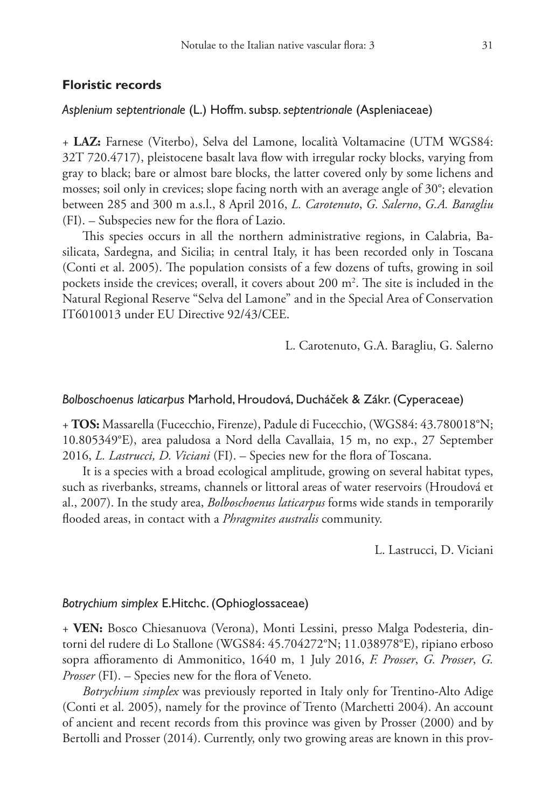#### **Floristic records**

## *Asplenium septentrionale* (L.) Hoffm. subsp. *septentrionale* (Aspleniaceae)

+ **LAZ:** Farnese (Viterbo), Selva del Lamone, località Voltamacine (UTM WGS84: 32T 720.4717), pleistocene basalt lava flow with irregular rocky blocks, varying from gray to black; bare or almost bare blocks, the latter covered only by some lichens and mosses; soil only in crevices; slope facing north with an average angle of 30°; elevation between 285 and 300 m a.s.l., 8 April 2016, *L. Carotenuto*, *G. Salerno*, *G.A. Baragliu* (FI). – Subspecies new for the flora of Lazio.

This species occurs in all the northern administrative regions, in Calabria, Basilicata, Sardegna, and Sicilia; in central Italy, it has been recorded only in Toscana (Conti et al. 2005). The population consists of a few dozens of tufts, growing in soil pockets inside the crevices; overall, it covers about  $200 \text{ m}^2$ . The site is included in the Natural Regional Reserve "Selva del Lamone" and in the Special Area of Conservation IT6010013 under EU Directive 92/43/CEE.

L. Carotenuto, G.A. Baragliu, G. Salerno

#### *Bolboschoenus laticarpus* Marhold, Hroudová, Ducháček & Zákr. (Cyperaceae)

+ **TOS:** Massarella (Fucecchio, Firenze), Padule di Fucecchio, (WGS84: 43.780018°N; 10.805349°E), area paludosa a Nord della Cavallaia, 15 m, no exp., 27 September 2016, *L. Lastrucci, D. Viciani* (FI). – Species new for the flora of Toscana.

It is a species with a broad ecological amplitude, growing on several habitat types, such as riverbanks, streams, channels or littoral areas of water reservoirs (Hroudová et al., 2007). In the study area, *Bolboschoenus laticarpus* forms wide stands in temporarily flooded areas, in contact with a *Phragmites australis* community.

L. Lastrucci, D. Viciani

#### *Botrychium simplex* E.Hitchc. (Ophioglossaceae)

+ **VEN:** Bosco Chiesanuova (Verona), Monti Lessini, presso Malga Podesteria, dintorni del rudere di Lo Stallone (WGS84: 45.704272°N; 11.038978°E), ripiano erboso sopra affioramento di Ammonitico, 1640 m, 1 July 2016, *F. Prosser*, *G. Prosser*, *G. Prosser* (FI). – Species new for the flora of Veneto.

*Botrychium simplex* was previously reported in Italy only for Trentino-Alto Adige (Conti et al. 2005), namely for the province of Trento (Marchetti 2004). An account of ancient and recent records from this province was given by Prosser (2000) and by Bertolli and Prosser (2014). Currently, only two growing areas are known in this prov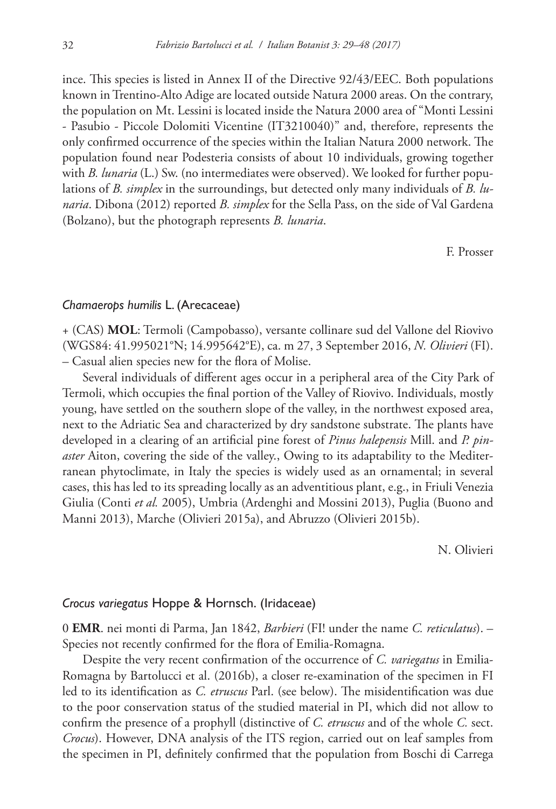ince. This species is listed in Annex II of the Directive 92/43/EEC. Both populations known in Trentino-Alto Adige are located outside Natura 2000 areas. On the contrary, the population on Mt. Lessini is located inside the Natura 2000 area of "Monti Lessini - Pasubio - Piccole Dolomiti Vicentine (IT3210040)" and, therefore, represents the only confirmed occurrence of the species within the Italian Natura 2000 network. The population found near Podesteria consists of about 10 individuals, growing together with *B. lunaria* (L.) Sw. (no intermediates were observed). We looked for further populations of *B. simplex* in the surroundings, but detected only many individuals of *B. lunaria*. Dibona (2012) reported *B. simplex* for the Sella Pass, on the side of Val Gardena (Bolzano), but the photograph represents *B. lunaria*.

F. Prosser

#### *Chamaerops humilis* L. (Arecaceae)

+ (CAS) **MOL**: Termoli (Campobasso), versante collinare sud del Vallone del Riovivo (WGS84: 41.995021°N; 14.995642°E), ca. m 27, 3 September 2016, *N. Olivieri* (FI). – Casual alien species new for the flora of Molise.

Several individuals of different ages occur in a peripheral area of the City Park of Termoli, which occupies the final portion of the Valley of Riovivo. Individuals, mostly young, have settled on the southern slope of the valley, in the northwest exposed area, next to the Adriatic Sea and characterized by dry sandstone substrate. The plants have developed in a clearing of an artificial pine forest of *Pinus halepensis* Mill. and *P. pinaster* Aiton, covering the side of the valley., Owing to its adaptability to the Mediterranean phytoclimate, in Italy the species is widely used as an ornamental; in several cases, this has led to its spreading locally as an adventitious plant, e.g., in Friuli Venezia Giulia (Conti *et al.* 2005), Umbria (Ardenghi and Mossini 2013), Puglia (Buono and Manni 2013), Marche (Olivieri 2015a), and Abruzzo (Olivieri 2015b).

N. Olivieri

#### *Crocus variegatus* Hoppe & Hornsch. (Iridaceae)

0 **EMR**. nei monti di Parma, Jan 1842, *Barbieri* (FI! under the name *C. reticulatus*). – Species not recently confirmed for the flora of Emilia-Romagna.

Despite the very recent confirmation of the occurrence of *C. variegatus* in Emilia-Romagna by Bartolucci et al. (2016b), a closer re-examination of the specimen in FI led to its identification as *C. etruscus* Parl. (see below). The misidentification was due to the poor conservation status of the studied material in PI, which did not allow to confirm the presence of a prophyll (distinctive of *C. etruscus* and of the whole *C.* sect. *Crocus*). However, DNA analysis of the ITS region, carried out on leaf samples from the specimen in PI, definitely confirmed that the population from Boschi di Carrega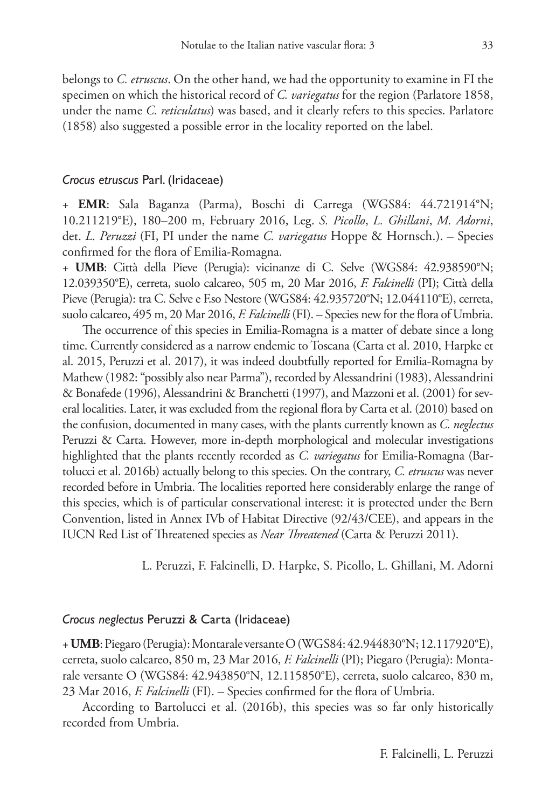belongs to *C. etruscus*. On the other hand, we had the opportunity to examine in FI the specimen on which the historical record of *C. variegatus* for the region (Parlatore 1858, under the name *C. reticulatus*) was based, and it clearly refers to this species. Parlatore (1858) also suggested a possible error in the locality reported on the label.

#### *Crocus etruscus* Parl. (Iridaceae)

+ **EMR**: Sala Baganza (Parma), Boschi di Carrega (WGS84: 44.721914°N; 10.211219°E), 180–200 m, February 2016, Leg. *S. Picollo*, *L. Ghillani*, *M. Adorni*, det. *L. Peruzzi* (FI, PI under the name *C. variegatus* Hoppe & Hornsch.). – Species confirmed for the flora of Emilia-Romagna.

+ **UMB**: Città della Pieve (Perugia): vicinanze di C. Selve (WGS84: 42.938590°N; 12.039350°E), cerreta, suolo calcareo, 505 m, 20 Mar 2016, *F. Falcinelli* (PI); Città della Pieve (Perugia): tra C. Selve e F.so Nestore (WGS84: 42.935720°N; 12.044110°E), cerreta, suolo calcareo, 495 m, 20 Mar 2016, *F. Falcinelli* (FI). – Species new for the flora of Umbria.

The occurrence of this species in Emilia-Romagna is a matter of debate since a long time. Currently considered as a narrow endemic to Toscana (Carta et al. 2010, Harpke et al. 2015, Peruzzi et al. 2017), it was indeed doubtfully reported for Emilia-Romagna by Mathew (1982: "possibly also near Parma"), recorded by Alessandrini (1983), Alessandrini & Bonafede (1996), Alessandrini & Branchetti (1997), and Mazzoni et al. (2001) for several localities. Later, it was excluded from the regional flora by Carta et al. (2010) based on the confusion, documented in many cases, with the plants currently known as *C. neglectus* Peruzzi & Carta. However, more in-depth morphological and molecular investigations highlighted that the plants recently recorded as *C. variegatus* for Emilia-Romagna (Bartolucci et al. 2016b) actually belong to this species. On the contrary, *C. etruscus* was never recorded before in Umbria. The localities reported here considerably enlarge the range of this species, which is of particular conservational interest: it is protected under the Bern Convention, listed in Annex IVb of Habitat Directive (92/43/CEE), and appears in the IUCN Red List of Threatened species as *Near Threatened* (Carta & Peruzzi 2011).

L. Peruzzi, F. Falcinelli, D. Harpke, S. Picollo, L. Ghillani, M. Adorni

#### *Crocus neglectus* Peruzzi & Carta (Iridaceae)

+ **UMB**: Piegaro (Perugia): Montarale versante O (WGS84: 42.944830°N; 12.117920°E), cerreta, suolo calcareo, 850 m, 23 Mar 2016, *F. Falcinelli* (PI); Piegaro (Perugia): Montarale versante O (WGS84: 42.943850°N, 12.115850°E), cerreta, suolo calcareo, 830 m, 23 Mar 2016, *F. Falcinelli* (FI). – Species confirmed for the flora of Umbria.

According to Bartolucci et al. (2016b), this species was so far only historically recorded from Umbria.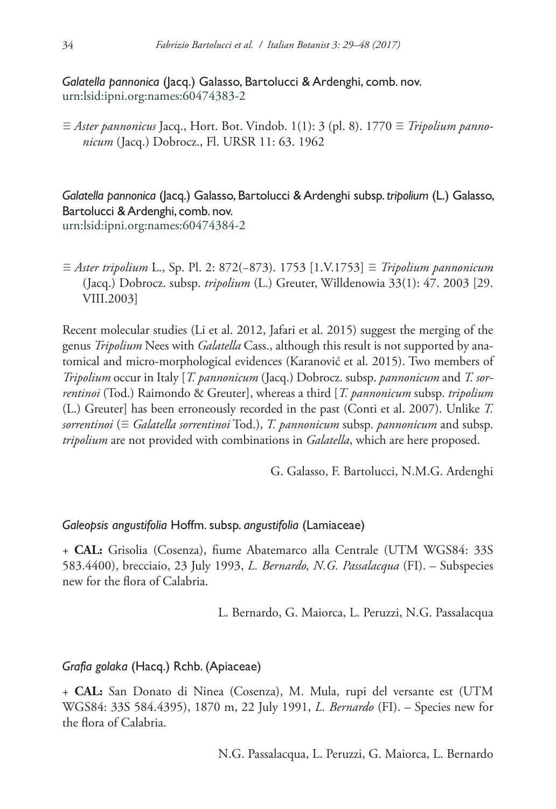# *Galatella pannonica* (Jacq.) Galasso, Bartolucci & Ardenghi, comb. nov. [urn:lsid:ipni.org:names:60474383-2](http://ipni.org/urn:lsid:ipni.org:names:60474383-2)

≡ *Aster pannonicus* Jacq., Hort. Bot. Vindob. 1(1): 3 (pl. 8). 1770 ≡ *Tripolium pannonicum* (Jacq.) Dobrocz., Fl. URSR 11: 63. 1962

*Galatella pannonica* (Jacq.) Galasso, Bartolucci & Ardenghi subsp. *tripolium* (L.) Galasso, Bartolucci & Ardenghi, comb. nov. [urn:lsid:ipni.org:names:60474384-2](http://ipni.org/urn:lsid:ipni.org:names:60474384-2)

≡ *Aster tripolium* L., Sp. Pl. 2: 872(−873). 1753 [1.V.1753] ≡ *Tripolium pannonicum* (Jacq.) Dobrocz. subsp. *tripolium* (L.) Greuter, Willdenowia 33(1): 47. 2003 [29. VIII.2003]

Recent molecular studies (Li et al. 2012, Jafari et al. 2015) suggest the merging of the genus *Tripolium* Nees with *Galatella* Cass., although this result is not supported by anatomical and micro-morphological evidences (Karanović et al. 2015). Two members of *Tripolium* occur in Italy [*T. pannonicum* (Jacq.) Dobrocz. subsp. *pannonicum* and *T. sorrentinoi* (Tod.) Raimondo & Greuter], whereas a third [*T. pannonicum* subsp. *tripolium*  (L.) Greuter] has been erroneously recorded in the past (Conti et al. 2007). Unlike *T. sorrentinoi* (≡ *Galatella sorrentinoi* Tod.), *T. pannonicum* subsp. *pannonicum* and subsp. *tripolium* are not provided with combinations in *Galatella*, which are here proposed.

G. Galasso, F. Bartolucci, N.M.G. Ardenghi

## *Galeopsis angustifolia* Hoffm. subsp. *angustifolia* (Lamiaceae)

+ **CAL:** Grisolia (Cosenza), fiume Abatemarco alla Centrale (UTM WGS84: 33S 583.4400), brecciaio, 23 July 1993, *L. Bernardo, N.G. Passalacqua* (FI). – Subspecies new for the flora of Calabria.

L. Bernardo, G. Maiorca, L. Peruzzi, N.G. Passalacqua

## *Grafia golaka* (Hacq.) Rchb. (Apiaceae)

+ **CAL:** San Donato di Ninea (Cosenza), M. Mula, rupi del versante est (UTM WGS84: 33S 584.4395), 1870 m, 22 July 1991, *L. Bernardo* (FI). – Species new for the flora of Calabria.

N.G. Passalacqua, L. Peruzzi, G. Maiorca, L. Bernardo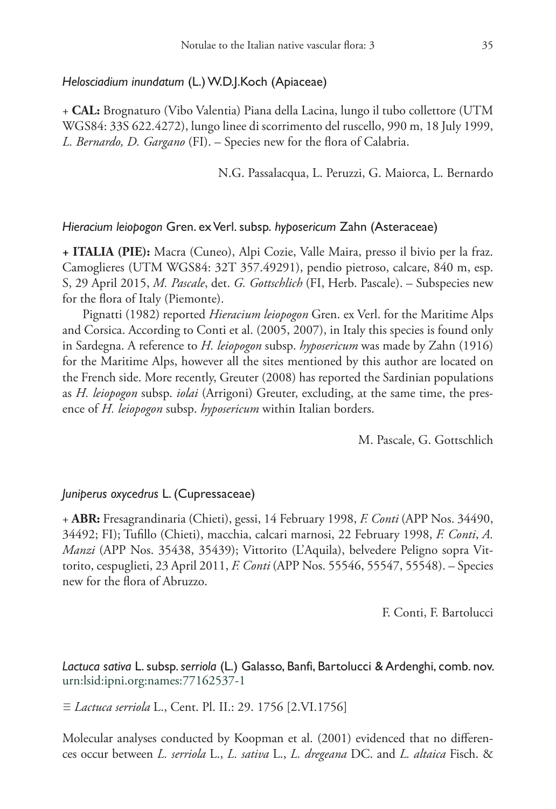#### *Helosciadium inundatum* (L.) W.D.J.Koch (Apiaceae)

+ **CAL:** Brognaturo (Vibo Valentia) Piana della Lacina, lungo il tubo collettore (UTM WGS84: 33S 622.4272), lungo linee di scorrimento del ruscello, 990 m, 18 July 1999, *L. Bernardo, D. Gargano* (FI). – Species new for the flora of Calabria.

N.G. Passalacqua, L. Peruzzi, G. Maiorca, L. Bernardo

#### *Hieracium leiopogon* Gren. ex Verl. subsp. *hyposericum* Zahn (Asteraceae)

**+ ITALIA (PIE):** Macra (Cuneo), Alpi Cozie, Valle Maira, presso il bivio per la fraz. Camoglieres (UTM WGS84: 32T 357.49291), pendio pietroso, calcare, 840 m, esp. S, 29 April 2015, *M. Pascale*, det. *G. Gottschlich* (FI, Herb. Pascale). – Subspecies new for the flora of Italy (Piemonte).

Pignatti (1982) reported *Hieracium leiopogon* Gren. ex Verl. for the Maritime Alps and Corsica. According to Conti et al. (2005, 2007), in Italy this species is found only in Sardegna. A reference to *H. leiopogon* subsp. *hyposericum* was made by Zahn (1916) for the Maritime Alps, however all the sites mentioned by this author are located on the French side. More recently, Greuter (2008) has reported the Sardinian populations as *H. leiopogon* subsp. *iolai* (Arrigoni) Greuter, excluding, at the same time, the presence of *H. leiopogon* subsp. *hyposericum* within Italian borders.

M. Pascale, G. Gottschlich

#### *Juniperus oxycedrus* L. (Cupressaceae)

+ **ABR:** Fresagrandinaria (Chieti), gessi, 14 February 1998, *F. Conti* (APP Nos. 34490, 34492; FI); Tufillo (Chieti), macchia, calcari marnosi, 22 February 1998, *F. Conti*, *A. Manzi* (APP Nos. 35438, 35439); Vittorito (L'Aquila), belvedere Peligno sopra Vittorito, cespuglieti, 23 April 2011, *F. Conti* (APP Nos. 55546, 55547, 55548). – Species new for the flora of Abruzzo.

F. Conti, F. Bartolucci

*Lactuca sativa* L. subsp. *serriola* (L.) Galasso, Banfi, Bartolucci & Ardenghi, comb. nov. [urn:lsid:ipni.org:names:77162537-1](http://ipni.org/urn:lsid:ipni.org:names:77162537-1)

≡ *Lactuca serriola* L., Cent. Pl. II.: 29. 1756 [2.VI.1756]

Molecular analyses conducted by Koopman et al. (2001) evidenced that no differences occur between *L. serriola* L., *L. sativa* L., *L. dregeana* DC. and *L. altaica* Fisch. &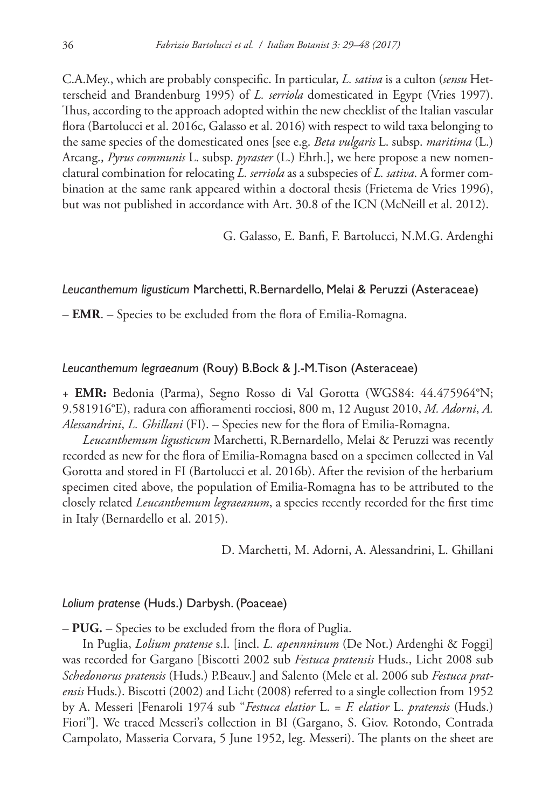C.A.Mey., which are probably conspecific. In particular, *L. sativa* is a culton (*sensu* Hetterscheid and Brandenburg 1995) of *L. serriola* domesticated in Egypt (Vries 1997). Thus, according to the approach adopted within the new checklist of the Italian vascular flora (Bartolucci et al. 2016c, Galasso et al. 2016) with respect to wild taxa belonging to the same species of the domesticated ones [see e.g. *Beta vulgaris* L. subsp. *maritima* (L.) Arcang., *Pyrus communis* L. subsp. *pyraster* (L.) Ehrh.], we here propose a new nomenclatural combination for relocating *L. serriola* as a subspecies of *L. sativa*. A former combination at the same rank appeared within a doctoral thesis (Frietema de Vries 1996), but was not published in accordance with Art. 30.8 of the ICN (McNeill et al. 2012).

G. Galasso, E. Banfi, F. Bartolucci, N.M.G. Ardenghi

## *Leucanthemum ligusticum* Marchetti, R.Bernardello, Melai & Peruzzi (Asteraceae)

– **EMR**. – Species to be excluded from the flora of Emilia-Romagna.

#### *Leucanthemum legraeanum* (Rouy) B.Bock & J.-M.Tison (Asteraceae)

+ **EMR:** Bedonia (Parma), Segno Rosso di Val Gorotta (WGS84: 44.475964°N; 9.581916°E), radura con affioramenti rocciosi, 800 m, 12 August 2010, *M. Adorni*, *A. Alessandrini*, *L. Ghillani* (FI). – Species new for the flora of Emilia-Romagna.

*Leucanthemum ligusticum* Marchetti, R.Bernardello, Melai & Peruzzi was recently recorded as new for the flora of Emilia-Romagna based on a specimen collected in Val Gorotta and stored in FI (Bartolucci et al. 2016b). After the revision of the herbarium specimen cited above, the population of Emilia-Romagna has to be attributed to the closely related *Leucanthemum legraeanum*, a species recently recorded for the first time in Italy (Bernardello et al. 2015).

D. Marchetti, M. Adorni, A. Alessandrini, L. Ghillani

#### *Lolium pratense* (Huds.) Darbysh. (Poaceae)

– **PUG.** – Species to be excluded from the flora of Puglia.

In Puglia, *Lolium pratense* s.l. [incl. *L. apennninum* (De Not.) Ardenghi & Foggi] was recorded for Gargano [Biscotti 2002 sub *Festuca pratensis* Huds., Licht 2008 sub *Schedonorus pratensis* (Huds.) P.Beauv.] and Salento (Mele et al. 2006 sub *Festuca pratensis* Huds.). Biscotti (2002) and Licht (2008) referred to a single collection from 1952 by A. Messeri [Fenaroli 1974 sub "*Festuca elatior* L. = *F. elatior* L. *pratensis* (Huds.) Fiori"]. We traced Messeri's collection in BI (Gargano, S. Giov. Rotondo, Contrada Campolato, Masseria Corvara, 5 June 1952, leg. Messeri). The plants on the sheet are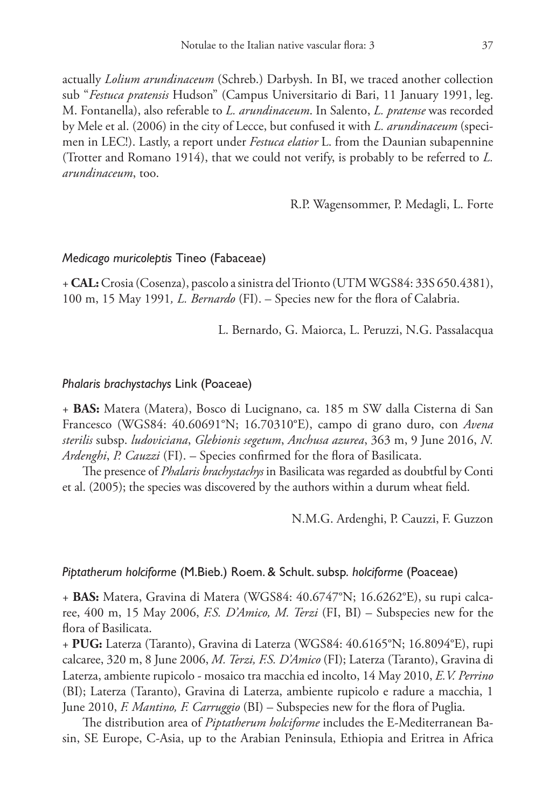actually *Lolium arundinaceum* (Schreb.) Darbysh. In BI, we traced another collection sub "*Festuca pratensis* Hudson" (Campus Universitario di Bari, 11 January 1991, leg. M. Fontanella), also referable to *L. arundinaceum*. In Salento, *L. pratense* was recorded by Mele et al. (2006) in the city of Lecce, but confused it with *L. arundinaceum* (specimen in LEC!). Lastly, a report under *Festuca elatior* L. from the Daunian subapennine (Trotter and Romano 1914), that we could not verify, is probably to be referred to *L. arundinaceum*, too.

R.P. Wagensommer, P. Medagli, L. Forte

#### *Medicago muricoleptis* Tineo (Fabaceae)

+ **CAL:** Crosia (Cosenza), pascolo a sinistra del Trionto (UTM WGS84: 33S 650.4381), 100 m, 15 May 1991*, L. Bernardo* (FI). – Species new for the flora of Calabria.

L. Bernardo, G. Maiorca, L. Peruzzi, N.G. Passalacqua

#### *Phalaris brachystachys* Link (Poaceae)

+ **BAS:** Matera (Matera), Bosco di Lucignano, ca. 185 m SW dalla Cisterna di San Francesco (WGS84: 40.60691°N; 16.70310°E), campo di grano duro, con *Avena sterilis* subsp. *ludoviciana*, *Glebionis segetum*, *Anchusa azurea*, 363 m, 9 June 2016, *N. Ardenghi*, *P. Cauzzi* (FI). – Species confirmed for the flora of Basilicata.

The presence of *Phalaris brachystachys* in Basilicata was regarded as doubtful by Conti et al. (2005); the species was discovered by the authors within a durum wheat field.

N.M.G. Ardenghi, P. Cauzzi, F. Guzzon

#### *Piptatherum holciforme* (M.Bieb.) Roem. & Schult. subsp. *holciforme* (Poaceae)

+ **BAS:** Matera, Gravina di Matera (WGS84: 40.6747°N; 16.6262°E), su rupi calcaree, 400 m, 15 May 2006, *F.S. D'Amico, M. Terzi* (FI, BI) – Subspecies new for the flora of Basilicata.

+ **PUG:** Laterza (Taranto), Gravina di Laterza (WGS84: 40.6165°N; 16.8094°E), rupi calcaree, 320 m, 8 June 2006, *M. Terzi, F.S. D'Amico* (FI); Laterza (Taranto), Gravina di Laterza, ambiente rupicolo - mosaico tra macchia ed incolto, 14 May 2010, *E.V. Perrino* (BI); Laterza (Taranto), Gravina di Laterza, ambiente rupicolo e radure a macchia, 1 June 2010, *F. Mantino, F. Carruggio* (BI) – Subspecies new for the flora of Puglia.

The distribution area of *Piptatherum holciforme* includes the E-Mediterranean Basin, SE Europe, C-Asia, up to the Arabian Peninsula, Ethiopia and Eritrea in Africa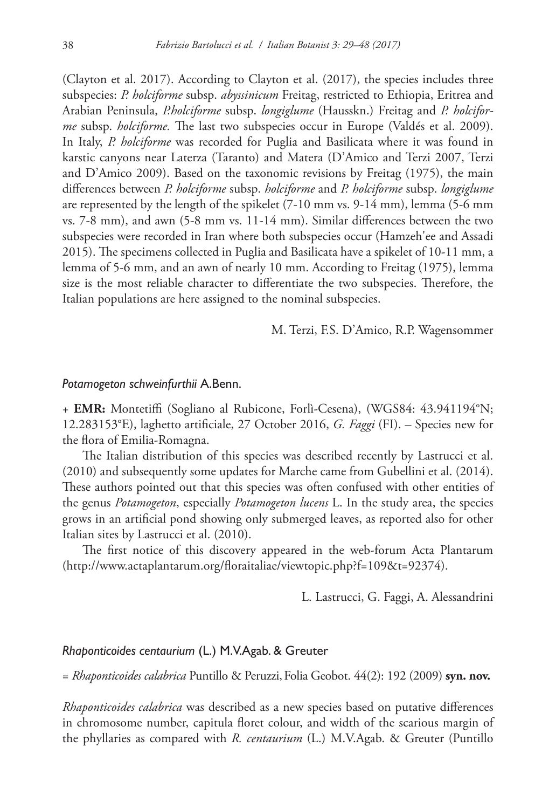(Clayton et al. 2017). According to Clayton et al. (2017), the species includes three subspecies: *P. holciforme* subsp. *abyssinicum* Freitag, restricted to Ethiopia, Eritrea and Arabian Peninsula, *P.holciforme* subsp. *longiglume* (Hausskn.) Freitag and *P. holciforme* subsp. *holciforme.* The last two subspecies occur in Europe (Valdés et al. 2009). In Italy, *P. holciforme* was recorded for Puglia and Basilicata where it was found in karstic canyons near Laterza (Taranto) and Matera (D'Amico and Terzi 2007, Terzi and D'Amico 2009). Based on the taxonomic revisions by Freitag (1975), the main differences between *P. holciforme* subsp. *holciforme* and *P. holciforme* subsp. *longiglume* are represented by the length of the spikelet (7-10 mm vs. 9-14 mm), lemma (5-6 mm vs. 7-8 mm), and awn (5-8 mm vs. 11-14 mm). Similar differences between the two subspecies were recorded in Iran where both subspecies occur (Hamzeh'ee and Assadi 2015). The specimens collected in Puglia and Basilicata have a spikelet of 10-11 mm, a lemma of 5-6 mm, and an awn of nearly 10 mm. According to Freitag (1975), lemma size is the most reliable character to differentiate the two subspecies. Therefore, the Italian populations are here assigned to the nominal subspecies.

M. Terzi, F.S. D'Amico, R.P. Wagensommer

#### *Potamogeton schweinfurthii* A.Benn.

+ **EMR:** Montetiffi (Sogliano al Rubicone, Forlì-Cesena), (WGS84: 43.941194°N; 12.283153°E), laghetto artificiale, 27 October 2016, *G. Faggi* (FI). – Species new for the flora of Emilia-Romagna.

The Italian distribution of this species was described recently by Lastrucci et al. (2010) and subsequently some updates for Marche came from Gubellini et al. (2014). These authors pointed out that this species was often confused with other entities of the genus *Potamogeton*, especially *Potamogeton lucens* L. In the study area, the species grows in an artificial pond showing only submerged leaves, as reported also for other Italian sites by Lastrucci et al. (2010).

The first notice of this discovery appeared in the web-forum Acta Plantarum (<http://www.actaplantarum.org/floraitaliae/viewtopic.php?f=109&t=92374>).

L. Lastrucci, G. Faggi, A. Alessandrini

#### *Rhaponticoides centaurium* (L.) M.V.Agab. & Greuter

= *Rhaponticoides calabrica* Puntillo & Peruzzi,Folia Geobot. 44(2): 192 (2009) **syn. nov.**

*Rhaponticoides calabrica* was described as a new species based on putative differences in chromosome number, capitula floret colour, and width of the scarious margin of the phyllaries as compared with *R. centaurium* (L.) M.V.Agab. & Greuter (Puntillo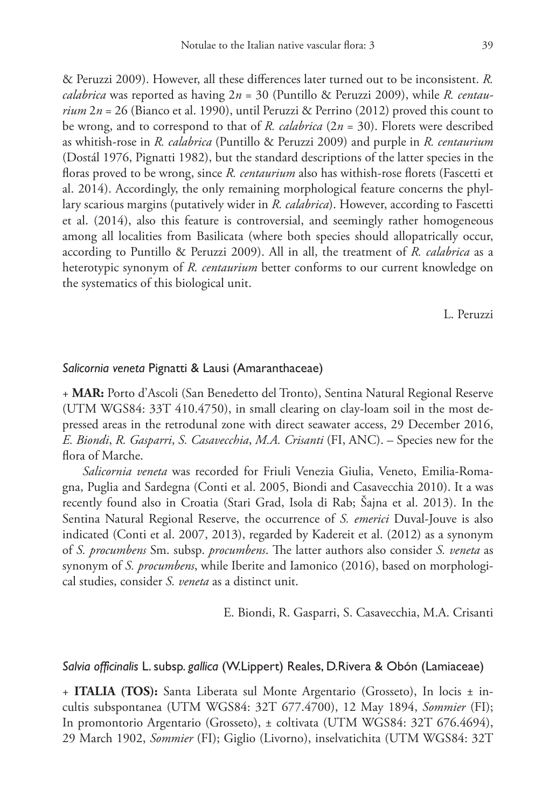& Peruzzi 2009). However, all these differences later turned out to be inconsistent. *R. calabrica* was reported as having 2*n* = 30 (Puntillo & Peruzzi 2009), while *R. centaurium*  $2n = 26$  (Bianco et al. 1990), until Peruzzi & Perrino (2012) proved this count to be wrong, and to correspond to that of *R. calabrica* (2*n* = 30). Florets were described as whitish-rose in *R. calabrica* (Puntillo & Peruzzi 2009) and purple in *R. centaurium* (Dostál 1976, Pignatti 1982), but the standard descriptions of the latter species in the floras proved to be wrong, since *R. centaurium* also has withish-rose florets (Fascetti et al. 2014). Accordingly, the only remaining morphological feature concerns the phyllary scarious margins (putatively wider in *R. calabrica*). However, according to Fascetti et al. (2014), also this feature is controversial, and seemingly rather homogeneous among all localities from Basilicata (where both species should allopatrically occur, according to Puntillo & Peruzzi 2009). All in all, the treatment of *R. calabrica* as a heterotypic synonym of *R. centaurium* better conforms to our current knowledge on the systematics of this biological unit.

L. Peruzzi

#### *Salicornia veneta* Pignatti & Lausi (Amaranthaceae)

+ **MAR:** Porto d'Ascoli (San Benedetto del Tronto), Sentina Natural Regional Reserve (UTM WGS84: 33T 410.4750), in small clearing on clay-loam soil in the most depressed areas in the retrodunal zone with direct seawater access, 29 December 2016, *E. Biondi*, *R. Gasparri*, *S. Casavecchia*, *M.A. Crisanti* (FI, ANC). – Species new for the flora of Marche.

*Salicornia veneta* was recorded for Friuli Venezia Giulia, Veneto, Emilia-Romagna, Puglia and Sardegna (Conti et al. 2005, Biondi and Casavecchia 2010). It a was recently found also in Croatia (Stari Grad, Isola di Rab; Šajna et al. 2013). In the Sentina Natural Regional Reserve, the occurrence of *S. emerici* Duval-Jouve is also indicated (Conti et al. 2007, 2013), regarded by Kadereit et al. (2012) as a synonym of *S. procumbens* Sm. subsp. *procumbens*. The latter authors also consider *S. veneta* as synonym of *S. procumbens*, while Iberite and Iamonico (2016), based on morphological studies, consider *S. veneta* as a distinct unit.

E. Biondi, R. Gasparri, S. Casavecchia, M.A. Crisanti

#### *Salvia officinalis* L. subsp. *gallica* (W.Lippert) Reales, D.Rivera & Obón (Lamiaceae)

+ **ITALIA (TOS):** Santa Liberata sul Monte Argentario (Grosseto), In locis ± incultis subspontanea (UTM WGS84: 32T 677.4700), 12 May 1894, *Sommier* (FI); In promontorio Argentario (Grosseto), ± coltivata (UTM WGS84: 32T 676.4694), 29 March 1902, *Sommier* (FI); Giglio (Livorno), inselvatichita (UTM WGS84: 32T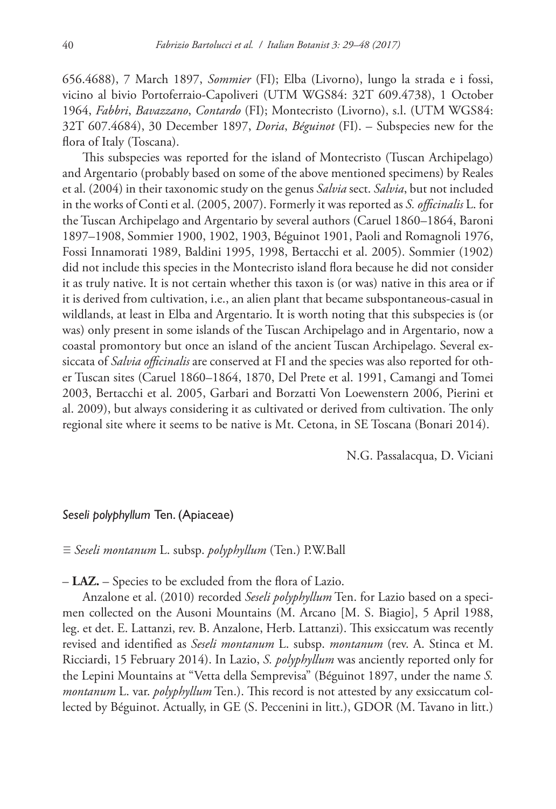656.4688), 7 March 1897, *Sommier* (FI); Elba (Livorno), lungo la strada e i fossi, vicino al bivio Portoferraio-Capoliveri (UTM WGS84: 32T 609.4738), 1 October 1964, *Fabbri*, *Bavazzano*, *Contardo* (FI); Montecristo (Livorno), s.l. (UTM WGS84: 32T 607.4684), 30 December 1897, *Doria*, *Béguinot* (FI). – Subspecies new for the flora of Italy (Toscana).

This subspecies was reported for the island of Montecristo (Tuscan Archipelago) and Argentario (probably based on some of the above mentioned specimens) by Reales et al. (2004) in their taxonomic study on the genus *Salvia* sect. *Salvia*, but not included in the works of Conti et al. (2005, 2007). Formerly it was reported as *S. officinalis* L. for the Tuscan Archipelago and Argentario by several authors (Caruel 1860–1864, Baroni 1897–1908, Sommier 1900, 1902, 1903, Béguinot 1901, Paoli and Romagnoli 1976, Fossi Innamorati 1989, Baldini 1995, 1998, Bertacchi et al. 2005). Sommier (1902) did not include this species in the Montecristo island flora because he did not consider it as truly native. It is not certain whether this taxon is (or was) native in this area or if it is derived from cultivation, i.e., an alien plant that became subspontaneous-casual in wildlands, at least in Elba and Argentario. It is worth noting that this subspecies is (or was) only present in some islands of the Tuscan Archipelago and in Argentario, now a coastal promontory but once an island of the ancient Tuscan Archipelago. Several exsiccata of *Salvia officinalis* are conserved at FI and the species was also reported for other Tuscan sites (Caruel 1860–1864, 1870, Del Prete et al. 1991, Camangi and Tomei 2003, Bertacchi et al. 2005, Garbari and Borzatti Von Loewenstern 2006, Pierini et al. 2009), but always considering it as cultivated or derived from cultivation. The only regional site where it seems to be native is Mt. Cetona, in SE Toscana (Bonari 2014).

N.G. Passalacqua, D. Viciani

#### *Seseli polyphyllum* Ten. (Apiaceae)

≡ *Seseli montanum* L. subsp. *polyphyllum* (Ten.) P.W.Ball

– **LAZ.** – Species to be excluded from the flora of Lazio.

Anzalone et al. (2010) recorded *Seseli polyphyllum* Ten. for Lazio based on a specimen collected on the Ausoni Mountains (M. Arcano [M. S. Biagio], 5 April 1988, leg. et det. E. Lattanzi, rev. B. Anzalone, Herb. Lattanzi). This exsiccatum was recently revised and identified as *Seseli montanum* L. subsp. *montanum* (rev. A. Stinca et M. Ricciardi, 15 February 2014). In Lazio, *S. polyphyllum* was anciently reported only for the Lepini Mountains at "Vetta della Semprevisa" (Béguinot 1897, under the name *S. montanum* L. var. *polyphyllum* Ten.). This record is not attested by any exsiccatum collected by Béguinot. Actually, in GE (S. Peccenini in litt.), GDOR (M. Tavano in litt.)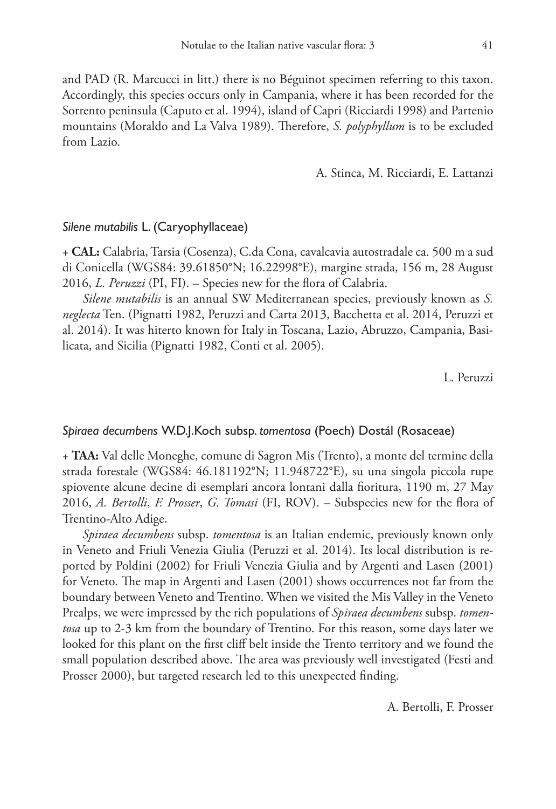and PAD (R. Marcucci in litt.) there is no Béguinot specimen referring to this taxon. Accordingly, this species occurs only in Campania, where it has been recorded for the Sorrento peninsula (Caputo et al. 1994), island of Capri (Ricciardi 1998) and Partenio mountains (Moraldo and La Valva 1989). Therefore, *S. polyphyllum* is to be excluded from Lazio.

A. Stinca, M. Ricciardi, E. Lattanzi

#### *Silene mutabilis* L. (Caryophyllaceae)

+ **CAL:** Calabria, Tarsia (Cosenza), C.da Cona, cavalcavia autostradale ca. 500 m a sud di Conicella (WGS84: 39.61850°N; 16.22998°E), margine strada, 156 m, 28 August 2016, *L. Peruzzi* (PI, FI). – Species new for the flora of Calabria.

*Silene mutabilis* is an annual SW Mediterranean species, previously known as *S. neglecta* Ten. (Pignatti 1982, Peruzzi and Carta 2013, Bacchetta et al. 2014, Peruzzi et al. 2014). It was hiterto known for Italy in Toscana, Lazio, Abruzzo, Campania, Basilicata, and Sicilia (Pignatti 1982, Conti et al. 2005).

L. Peruzzi

#### *Spiraea decumbens* W.D.J.Koch subsp. *tomentosa* (Poech) Dostál (Rosaceae)

+ **TAA:** Val delle Moneghe, comune di Sagron Mis (Trento), a monte del termine della strada forestale (WGS84: 46.181192°N; 11.948722°E), su una singola piccola rupe spiovente alcune decine di esemplari ancora lontani dalla fioritura, 1190 m, 27 May 2016, *A. Bertolli*, *F. Prosser*, *G. Tomasi* (FI, ROV). – Subspecies new for the flora of Trentino-Alto Adige.

*Spiraea decumbens* subsp. *tomentosa* is an Italian endemic, previously known only in Veneto and Friuli Venezia Giulia (Peruzzi et al. 2014). Its local distribution is reported by Poldini (2002) for Friuli Venezia Giulia and by Argenti and Lasen (2001) for Veneto. The map in Argenti and Lasen (2001) shows occurrences not far from the boundary between Veneto and Trentino. When we visited the Mis Valley in the Veneto Prealps, we were impressed by the rich populations of *Spiraea decumbens* subsp. *tomentosa* up to 2-3 km from the boundary of Trentino. For this reason, some days later we looked for this plant on the first cliff belt inside the Trento territory and we found the small population described above. The area was previously well investigated (Festi and Prosser 2000), but targeted research led to this unexpected finding.

A. Bertolli, F. Prosser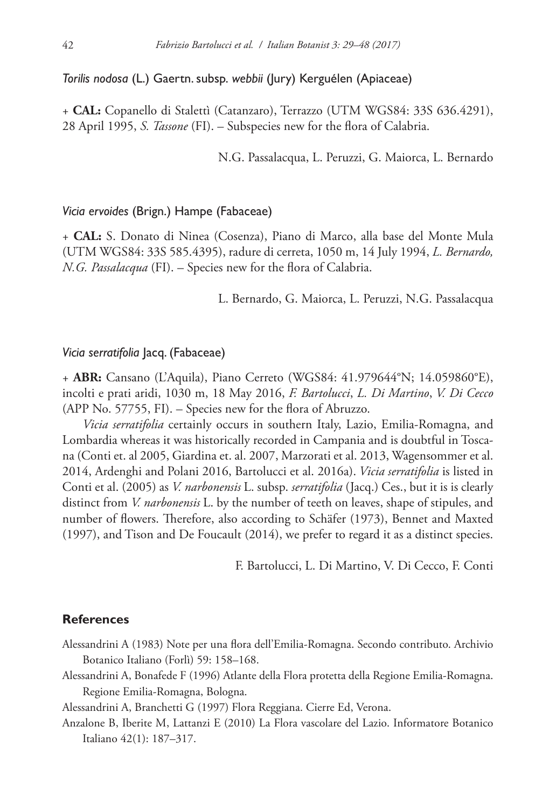## *Torilis nodosa* (L.) Gaertn. subsp. *webbii* (Jury) Kerguélen (Apiaceae)

+ **CAL:** Copanello di Stalettì (Catanzaro), Terrazzo (UTM WGS84: 33S 636.4291), 28 April 1995, *S. Tassone* (FI). – Subspecies new for the flora of Calabria.

N.G. Passalacqua, L. Peruzzi, G. Maiorca, L. Bernardo

#### *Vicia ervoides* (Brign.) Hampe (Fabaceae)

+ **CAL:** S. Donato di Ninea (Cosenza), Piano di Marco, alla base del Monte Mula (UTM WGS84: 33S 585.4395), radure di cerreta, 1050 m, 14 July 1994, *L. Bernardo, N.G. Passalacqua* (FI). – Species new for the flora of Calabria.

L. Bernardo, G. Maiorca, L. Peruzzi, N.G. Passalacqua

#### *Vicia serratifolia* Jacq. (Fabaceae)

+ **ABR:** Cansano (L'Aquila), Piano Cerreto (WGS84: 41.979644°N; 14.059860°E), incolti e prati aridi, 1030 m, 18 May 2016, *F. Bartolucci*, *L. Di Martino*, *V. Di Cecco* (APP No. 57755, FI). – Species new for the flora of Abruzzo.

*Vicia serratifolia* certainly occurs in southern Italy, Lazio, Emilia-Romagna, and Lombardia whereas it was historically recorded in Campania and is doubtful in Toscana (Conti et. al 2005, Giardina et. al. 2007, Marzorati et al. 2013, Wagensommer et al. 2014, Ardenghi and Polani 2016, Bartolucci et al. 2016a). *Vicia serratifolia* is listed in Conti et al. (2005) as *V. narbonensis* L. subsp. *serratifolia* (Jacq.) Ces., but it is is clearly distinct from *V. narbonensis* L. by the number of teeth on leaves, shape of stipules, and number of flowers. Therefore, also according to Schäfer (1973), Bennet and Maxted (1997), and Tison and De Foucault (2014), we prefer to regard it as a distinct species.

F. Bartolucci, L. Di Martino, V. Di Cecco, F. Conti

## **References**

- Alessandrini A (1983) Note per una flora dell'Emilia-Romagna. Secondo contributo. Archivio Botanico Italiano (Forlì) 59: 158–168.
- Alessandrini A, Bonafede F (1996) Atlante della Flora protetta della Regione Emilia-Romagna. Regione Emilia-Romagna, Bologna.
- Alessandrini A, Branchetti G (1997) Flora Reggiana. Cierre Ed, Verona.
- Anzalone B, Iberite M, Lattanzi E (2010) La Flora vascolare del Lazio. Informatore Botanico Italiano 42(1): 187–317.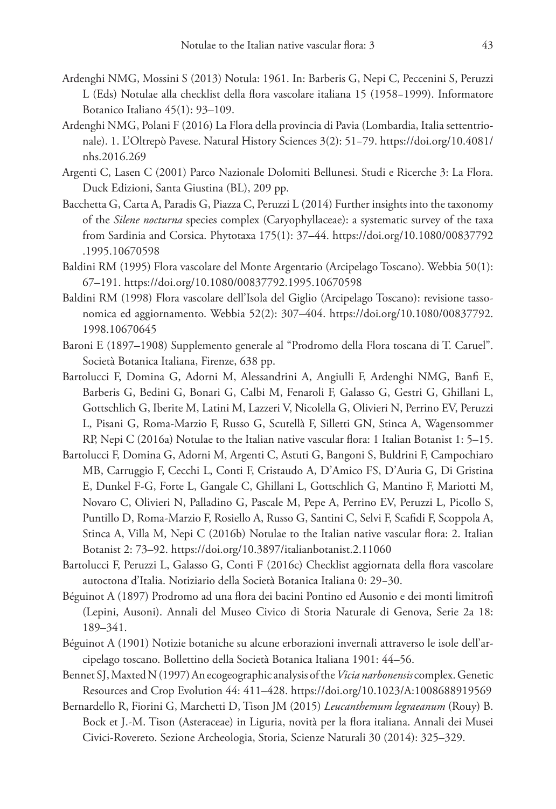- Ardenghi NMG, Mossini S (2013) Notula: 1961. In: Barberis G, Nepi C, Peccenini S, Peruzzi L (Eds) Notulae alla checklist della flora vascolare italiana 15 (1958−1999). Informatore Botanico Italiano 45(1): 93–109.
- Ardenghi NMG, Polani F (2016) La Flora della provincia di Pavia (Lombardia, Italia settentrionale). 1. L'Oltrepò Pavese. Natural History Sciences 3(2): 51−79. [https://doi.org/10.4081/](https://doi.org/10.4081/nhs.2016.269) [nhs.2016.269](https://doi.org/10.4081/nhs.2016.269)
- Argenti C, Lasen C (2001) Parco Nazionale Dolomiti Bellunesi. Studi e Ricerche 3: La Flora. Duck Edizioni, Santa Giustina (BL), 209 pp.
- Bacchetta G, Carta A, Paradis G, Piazza C, Peruzzi L (2014) Further insights into the taxonomy of the *Silene nocturna* species complex (Caryophyllaceae): a systematic survey of the taxa from Sardinia and Corsica. Phytotaxa 175(1): 37–44. [https://doi.org/10.1080/00837792](https://doi.org/10.1080/00837792.1995.10670598) [.1995.10670598](https://doi.org/10.1080/00837792.1995.10670598)
- Baldini RM (1995) Flora vascolare del Monte Argentario (Arcipelago Toscano). Webbia 50(1): 67–191.<https://doi.org/10.1080/00837792.1995.10670598>
- Baldini RM (1998) Flora vascolare dell'Isola del Giglio (Arcipelago Toscano): revisione tassonomica ed aggiornamento. Webbia 52(2): 307–404. [https://doi.org/10.1080/00837792.](https://doi.org/10.1080/00837792.1998.10670645) [1998.10670645](https://doi.org/10.1080/00837792.1998.10670645)
- Baroni E (1897–1908) Supplemento generale al "Prodromo della Flora toscana di T. Caruel". Società Botanica Italiana, Firenze, 638 pp.
- Bartolucci F, Domina G, Adorni M, Alessandrini A, Angiulli F, Ardenghi NMG, Banfi E, Barberis G, Bedini G, Bonari G, Calbi M, Fenaroli F, Galasso G, Gestri G, Ghillani L, Gottschlich G, Iberite M, Latini M, Lazzeri V, Nicolella G, Olivieri N, Perrino EV, Peruzzi L, Pisani G, Roma-Marzio F, Russo G, Scutellà F, Silletti GN, Stinca A, Wagensommer RP, Nepi C (2016a) Notulae to the Italian native vascular flora: 1 Italian Botanist 1: 5–15.
- Bartolucci F, Domina G, Adorni M, Argenti C, Astuti G, Bangoni S, Buldrini F, Campochiaro MB, Carruggio F, Cecchi L, Conti F, Cristaudo A, D'Amico FS, D'Auria G, Di Gristina E, Dunkel F-G, Forte L, Gangale C, Ghillani L, Gottschlich G, Mantino F, Mariotti M, Novaro C, Olivieri N, Palladino G, Pascale M, Pepe A, Perrino EV, Peruzzi L, Picollo S, Puntillo D, Roma-Marzio F, Rosiello A, Russo G, Santini C, Selvi F, Scafidi F, Scoppola A, Stinca A, Villa M, Nepi C (2016b) Notulae to the Italian native vascular flora: 2. Italian Botanist 2: 73–92.<https://doi.org/10.3897/italianbotanist.2.11060>
- Bartolucci F, Peruzzi L, Galasso G, Conti F (2016c) Checklist aggiornata della flora vascolare autoctona d'Italia. Notiziario della Società Botanica Italiana 0: 29−30.
- Béguinot A (1897) Prodromo ad una flora dei bacini Pontino ed Ausonio e dei monti limitrofi (Lepini, Ausoni). Annali del Museo Civico di Storia Naturale di Genova, Serie 2a 18: 189–341.
- Béguinot A (1901) Notizie botaniche su alcune erborazioni invernali attraverso le isole dell'arcipelago toscano. Bollettino della Società Botanica Italiana 1901: 44–56.
- Bennet SJ, Maxted N (1997) An ecogeographic analysis of the *Vicia narbonensis* complex. Genetic Resources and Crop Evolution 44: 411–428. <https://doi.org/10.1023/A:1008688919569>
- Bernardello R, Fiorini G, Marchetti D, Tison JM (2015) *Leucanthemum legraeanum* (Rouy) B. Bock et J.-M. Tison (Asteraceae) in Liguria, novità per la flora italiana. Annali dei Musei Civici-Rovereto. Sezione Archeologia, Storia, Scienze Naturali 30 (2014): 325–329.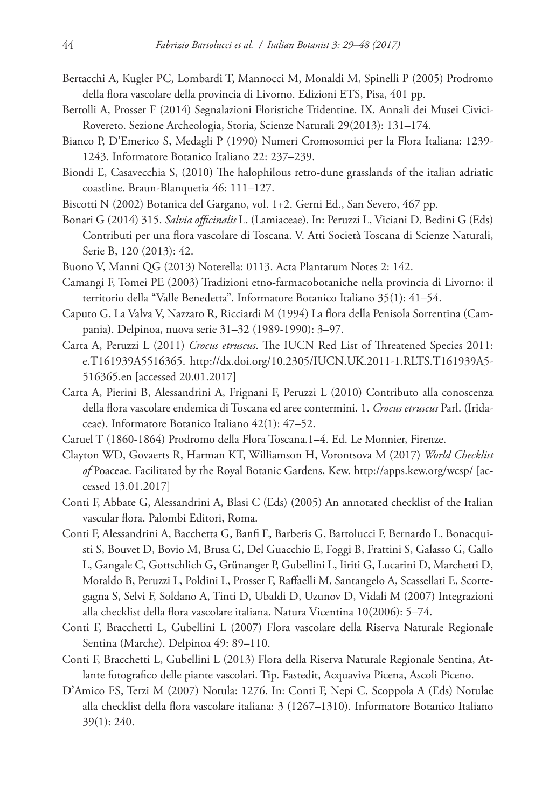- Bertacchi A, Kugler PC, Lombardi T, Mannocci M, Monaldi M, Spinelli P (2005) Prodromo della flora vascolare della provincia di Livorno. Edizioni ETS, Pisa, 401 pp.
- Bertolli A, Prosser F (2014) Segnalazioni Floristiche Tridentine. IX. Annali dei Musei Civici-Rovereto. Sezione Archeologia, Storia, Scienze Naturali 29(2013): 131–174.
- Bianco P, D'Emerico S, Medagli P (1990) Numeri Cromosomici per la Flora Italiana: 1239- 1243. Informatore Botanico Italiano 22: 237–239.
- Biondi E, Casavecchia S, (2010) The halophilous retro-dune grasslands of the italian adriatic coastline. Braun-Blanquetia 46: 111–127.
- Biscotti N (2002) Botanica del Gargano, vol. 1+2. Gerni Ed., San Severo, 467 pp.
- Bonari G (2014) 315. *Salvia officinalis* L. (Lamiaceae). In: Peruzzi L, Viciani D, Bedini G (Eds) Contributi per una flora vascolare di Toscana. V. Atti Società Toscana di Scienze Naturali, Serie B, 120 (2013): 42.
- Buono V, Manni QG (2013) Noterella: 0113. Acta Plantarum Notes 2: 142.
- Camangi F, Tomei PE (2003) Tradizioni etno-farmacobotaniche nella provincia di Livorno: il territorio della "Valle Benedetta". Informatore Botanico Italiano 35(1): 41–54.
- Caputo G, La Valva V, Nazzaro R, Ricciardi M (1994) La flora della Penisola Sorrentina (Campania). Delpinoa, nuova serie 31–32 (1989-1990): 3–97.
- Carta A, Peruzzi L (2011) *Crocus etruscus*. The IUCN Red List of Threatened Species 2011: e.T161939A5516365. [http://dx.doi.org/10.2305/IUCN.UK.2011-1.RLTS.T161939A5-](http://dx.doi.org/10.2305/IUCN.UK.2011-1.RLTS.T161939A5%C2%AD51%C2%AD63%C2%AD65.en) [516365.en](http://dx.doi.org/10.2305/IUCN.UK.2011-1.RLTS.T161939A5%C2%AD51%C2%AD63%C2%AD65.en) [accessed 20.01.2017]
- Carta A, Pierini B, Alessandrini A, Frignani F, Peruzzi L (2010) Contributo alla conoscenza della flora vascolare endemica di Toscana ed aree contermini. 1. *Crocus etruscus* Parl. (Iridaceae). Informatore Botanico Italiano 42(1): 47–52.
- Caruel T (1860-1864) Prodromo della Flora Toscana.1–4. Ed. Le Monnier, Firenze.
- Clayton WD, Govaerts R, Harman KT, Williamson H, Vorontsova M (2017) *World Checklist of* Poaceae. Facilitated by the Royal Botanic Gardens, Kew. <http://apps.kew.org/wcsp/> [accessed 13.01.2017]
- Conti F, Abbate G, Alessandrini A, Blasi C (Eds) (2005) An annotated checklist of the Italian vascular flora. Palombi Editori, Roma.
- Conti F, Alessandrini A, Bacchetta G, Banfi E, Barberis G, Bartolucci F, Bernardo L, Bonacquisti S, Bouvet D, Bovio M, Brusa G, Del Guacchio E, Foggi B, Frattini S, Galasso G, Gallo L, Gangale C, Gottschlich G, Grünanger P, Gubellini L, Iiriti G, Lucarini D, Marchetti D, Moraldo B, Peruzzi L, Poldini L, Prosser F, Raffaelli M, Santangelo A, Scassellati E, Scortegagna S, Selvi F, Soldano A, Tinti D, Ubaldi D, Uzunov D, Vidali M (2007) Integrazioni alla checklist della flora vascolare italiana. Natura Vicentina 10(2006): 5–74.
- Conti F, Bracchetti L, Gubellini L (2007) Flora vascolare della Riserva Naturale Regionale Sentina (Marche). Delpinoa 49: 89–110.
- Conti F, Bracchetti L, Gubellini L (2013) Flora della Riserva Naturale Regionale Sentina, Atlante fotografico delle piante vascolari. Tip. Fastedit, Acquaviva Picena, Ascoli Piceno.
- D'Amico FS, Terzi M (2007) Notula: 1276. In: Conti F, Nepi C, Scoppola A (Eds) Notulae alla checklist della flora vascolare italiana: 3 (1267–1310). Informatore Botanico Italiano 39(1): 240.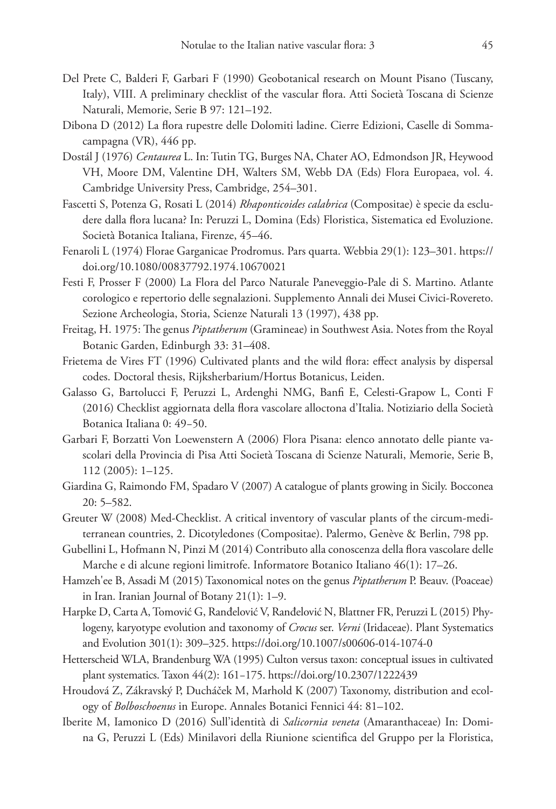- Del Prete C, Balderi F, Garbari F (1990) Geobotanical research on Mount Pisano (Tuscany, Italy), VIII. A preliminary checklist of the vascular flora. Atti Società Toscana di Scienze Naturali, Memorie, Serie B 97: 121–192.
- Dibona D (2012) La flora rupestre delle Dolomiti ladine. Cierre Edizioni, Caselle di Sommacampagna (VR), 446 pp.
- Dostál J (1976) *Centaurea* L. In: Tutin TG, Burges NA, Chater AO, Edmondson JR, Heywood VH, Moore DM, Valentine DH, Walters SM, Webb DA (Eds) Flora Europaea, vol. 4. Cambridge University Press, Cambridge, 254–301.
- Fascetti S, Potenza G, Rosati L (2014) *Rhaponticoides calabrica* (Compositae) è specie da escludere dalla flora lucana? In: Peruzzi L, Domina (Eds) Floristica, Sistematica ed Evoluzione. Società Botanica Italiana, Firenze, 45–46.
- Fenaroli L (1974) Florae Garganicae Prodromus. Pars quarta. Webbia 29(1): 123–301. [https://](https://doi.org/10.1080/00837792.1974.10670021) [doi.org/10.1080/00837792.1974.10670021](https://doi.org/10.1080/00837792.1974.10670021)
- Festi F, Prosser F (2000) La Flora del Parco Naturale Paneveggio-Pale di S. Martino. Atlante corologico e repertorio delle segnalazioni. Supplemento Annali dei Musei Civici-Rovereto. Sezione Archeologia, Storia, Scienze Naturali 13 (1997), 438 pp.
- Freitag, H. 1975: The genus *Piptatherum* (Gramineae) in Southwest Asia. Notes from the Royal Botanic Garden, Edinburgh 33: 31–408.
- Frietema de Vires FT (1996) Cultivated plants and the wild flora: effect analysis by dispersal codes. Doctoral thesis, Rijksherbarium/Hortus Botanicus, Leiden.
- Galasso G, Bartolucci F, Peruzzi L, Ardenghi NMG, Banfi E, Celesti-Grapow L, Conti F (2016) Checklist aggiornata della flora vascolare alloctona d'Italia. Notiziario della Società Botanica Italiana 0: 49−50.
- Garbari F, Borzatti Von Loewenstern A (2006) Flora Pisana: elenco annotato delle piante vascolari della Provincia di Pisa Atti Società Toscana di Scienze Naturali, Memorie, Serie B, 112 (2005): 1–125.
- Giardina G, Raimondo FM, Spadaro V (2007) A catalogue of plants growing in Sicily. Bocconea 20: 5–582.
- Greuter W (2008) Med-Checklist. A critical inventory of vascular plants of the circum-mediterranean countries, 2. Dicotyledones (Compositae). Palermo, Genève & Berlin, 798 pp.
- Gubellini L, Hofmann N, Pinzi M (2014) Contributo alla conoscenza della flora vascolare delle Marche e di alcune regioni limitrofe. Informatore Botanico Italiano 46(1): 17–26.
- Hamzeh'ee B, Assadi M (2015) Taxonomical notes on the genus *Piptatherum* P. Beauv. (Poaceae) in Iran. Iranian Journal of Botany 21(1): 1–9.
- Harpke D, Carta A, Tomović G, Ranđelović V, Ranđelović N, Blattner FR, Peruzzi L (2015) Phylogeny, karyotype evolution and taxonomy of *Crocus* ser. *Verni* (Iridaceae). Plant Systematics and Evolution 301(1): 309–325.<https://doi.org/10.1007/s00606-014-1074-0>
- Hetterscheid WLA, Brandenburg WA (1995) Culton versus taxon: conceptual issues in cultivated plant systematics. Taxon 44(2): 161−175. <https://doi.org/10.2307/1222439>
- Hroudová Z, Zákravský P, Ducháček M, Marhold K (2007) Taxonomy, distribution and ecology of *Bolboschoenus* in Europe. Annales Botanici Fennici 44: 81–102.
- Iberite M, Iamonico D (2016) Sull'identità di *Salicornia veneta* (Amaranthaceae) In: Domina G, Peruzzi L (Eds) Minilavori della Riunione scientifica del Gruppo per la Floristica,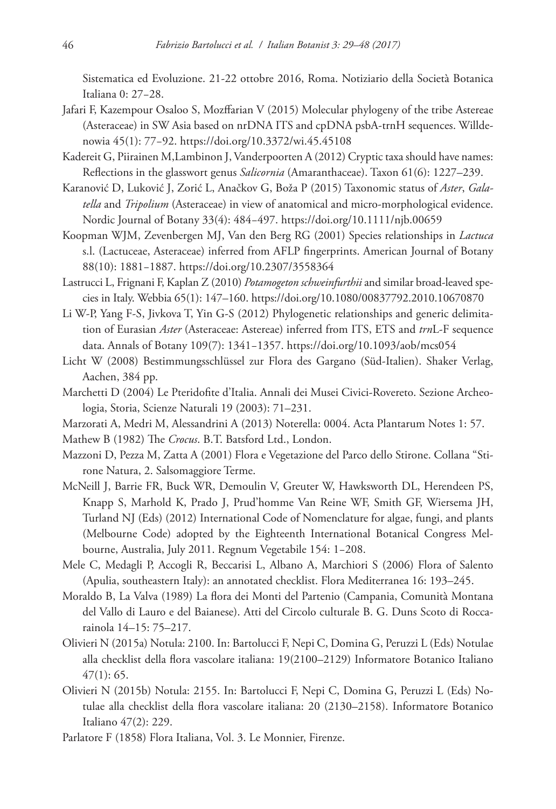Sistematica ed Evoluzione. 21-22 ottobre 2016, Roma. Notiziario della Società Botanica Italiana 0: 27−28.

- Jafari F, Kazempour Osaloo S, Mozffarian V (2015) Molecular phylogeny of the tribe Astereae (Asteraceae) in SW Asia based on nrDNA ITS and cpDNA psbA-trnH sequences. Willdenowia 45(1): 77−92. <https://doi.org/10.3372/wi.45.45108>
- Kadereit G, Piirainen M,Lambinon J, Vanderpoorten A (2012) Cryptic taxa should have names: Reflections in the glasswort genus *Salicornia* (Amaranthaceae). Taxon 61(6): 1227–239.
- Karanović D, Luković J, Zorić L, Anačkov G, Boža P (2015) Taxonomic status of *Aster*, *Galatella* and *Tripolium* (Asteraceae) in view of anatomical and micro-morphological evidence. Nordic Journal of Botany 33(4): 484−497. <https://doi.org/10.1111/njb.00659>
- Koopman WJM, Zevenbergen MJ, Van den Berg RG (2001) Species relationships in *Lactuca* s.l. (Lactuceae, Asteraceae) inferred from AFLP fingerprints. American Journal of Botany 88(10): 1881−1887. <https://doi.org/10.2307/3558364>
- Lastrucci L, Frignani F, Kaplan Z (2010) *Potamogeton schweinfurthii* and similar broad-leaved species in Italy. Webbia 65(1): 147–160. <https://doi.org/10.1080/00837792.2010.10670870>
- Li W-P, Yang F-S, Jivkova T, Yin G-S (2012) Phylogenetic relationships and generic delimitation of Eurasian *Aster* (Asteraceae: Astereae) inferred from ITS, ETS and *trn*L-F sequence data. Annals of Botany 109(7): 1341−1357.<https://doi.org/10.1093/aob/mcs054>
- Licht W (2008) Bestimmungsschlüssel zur Flora des Gargano (Süd-Italien). Shaker Verlag, Aachen, 384 pp.
- Marchetti D (2004) Le Pteridofite d'Italia. Annali dei Musei Civici-Rovereto. Sezione Archeologia, Storia, Scienze Naturali 19 (2003): 71–231.
- Marzorati A, Medri M, Alessandrini A (2013) Noterella: 0004. Acta Plantarum Notes 1: 57.

Mathew B (1982) The *Crocus*. B.T. Batsford Ltd., London.

- Mazzoni D, Pezza M, Zatta A (2001) Flora e Vegetazione del Parco dello Stirone. Collana "Stirone Natura, 2. Salsomaggiore Terme.
- McNeill J, Barrie FR, Buck WR, Demoulin V, Greuter W, Hawksworth DL, Herendeen PS, Knapp S, Marhold K, Prado J, Prud'homme Van Reine WF, Smith GF, Wiersema JH, Turland NJ (Eds) (2012) International Code of Nomenclature for algae, fungi, and plants (Melbourne Code) adopted by the Eighteenth International Botanical Congress Melbourne, Australia, July 2011. Regnum Vegetabile 154: 1−208.
- Mele C, Medagli P, Accogli R, Beccarisi L, Albano A, Marchiori S (2006) Flora of Salento (Apulia, southeastern Italy): an annotated checklist. Flora Mediterranea 16: 193–245.
- Moraldo B, La Valva (1989) La flora dei Monti del Partenio (Campania, Comunità Montana del Vallo di Lauro e del Baianese). Atti del Circolo culturale B. G. Duns Scoto di Roccarainola 14–15: 75–217.
- Olivieri N (2015a) Notula: 2100. In: Bartolucci F, Nepi C, Domina G, Peruzzi L (Eds) Notulae alla checklist della flora vascolare italiana: 19(2100–2129) Informatore Botanico Italiano 47(1): 65.
- Olivieri N (2015b) Notula: 2155. In: Bartolucci F, Nepi C, Domina G, Peruzzi L (Eds) Notulae alla checklist della flora vascolare italiana: 20 (2130–2158). Informatore Botanico Italiano 47(2): 229.
- Parlatore F (1858) Flora Italiana, Vol. 3. Le Monnier, Firenze.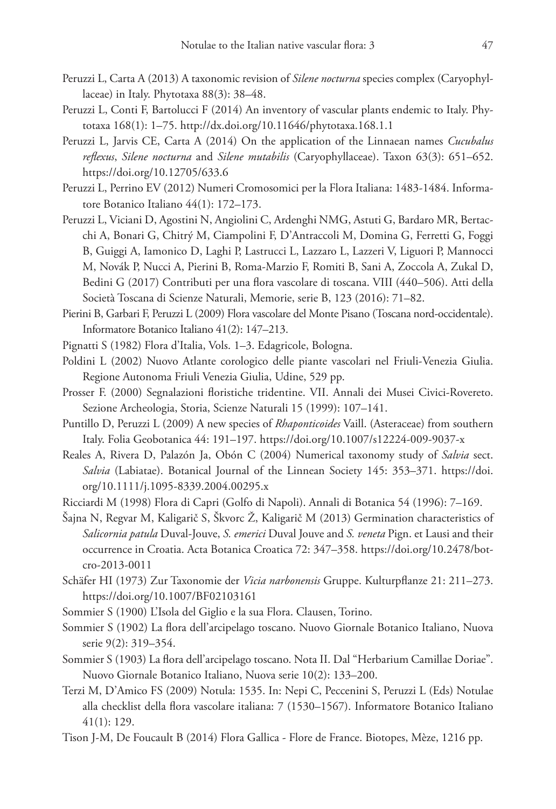- Peruzzi L, Carta A (2013) A taxonomic revision of *Silene nocturna* species complex (Caryophyllaceae) in Italy. Phytotaxa 88(3): 38–48.
- Peruzzi L, Conti F, Bartolucci F (2014) An inventory of vascular plants endemic to Italy. Phytotaxa 168(1): 1–75. <http://dx.doi.org/10.11646/phytotaxa.168.1.1>
- Peruzzi L, Jarvis CE, Carta A (2014) On the application of the Linnaean names *Cucubalus reflexus*, *Silene nocturna* and *Silene mutabilis* (Caryophyllaceae). Taxon 63(3): 651–652. <https://doi.org/10.12705/633.6>
- Peruzzi L, Perrino EV (2012) Numeri Cromosomici per la Flora Italiana: 1483-1484. Informatore Botanico Italiano 44(1): 172–173.
- Peruzzi L, Viciani D, Agostini N, Angiolini C, Ardenghi NMG, Astuti G, Bardaro MR, Bertacchi A, Bonari G, Chitrý M, Ciampolini F, D'Antraccoli M, Domina G, Ferretti G, Foggi B, Guiggi A, Iamonico D, Laghi P, Lastrucci L, Lazzaro L, Lazzeri V, Liguori P, Mannocci M, Novák P, Nucci A, Pierini B, Roma-Marzio F, Romiti B, Sani A, Zoccola A, Zukal D, Bedini G (2017) Contributi per una flora vascolare di toscana. VIII (440–506). Atti della Società Toscana di Scienze Naturali, Memorie, serie B, 123 (2016): 71–82.
- Pierini B, Garbari F, Peruzzi L (2009) Flora vascolare del Monte Pisano (Toscana nord-occidentale). Informatore Botanico Italiano 41(2): 147–213.
- Pignatti S (1982) Flora d'Italia, Vols. 1–3. Edagricole, Bologna.
- Poldini L (2002) Nuovo Atlante corologico delle piante vascolari nel Friuli-Venezia Giulia. Regione Autonoma Friuli Venezia Giulia, Udine, 529 pp.
- Prosser F. (2000) Segnalazioni floristiche tridentine. VII. Annali dei Musei Civici-Rovereto. Sezione Archeologia, Storia, Scienze Naturali 15 (1999): 107–141.
- Puntillo D, Peruzzi L (2009) A new species of *Rhaponticoides* Vaill. (Asteraceae) from southern Italy. Folia Geobotanica 44: 191–197. <https://doi.org/10.1007/s12224-009-9037-x>
- Reales A, Rivera D, Palazón Ja, Obón C (2004) Numerical taxonomy study of *Salvia* sect. *Salvia* (Labiatae). Botanical Journal of the Linnean Society 145: 353–371. [https://doi.](https://doi.org/10.1111/j.1095-8339.2004.00295.x) [org/10.1111/j.1095-8339.2004.00295.x](https://doi.org/10.1111/j.1095-8339.2004.00295.x)
- Ricciardi M (1998) Flora di Capri (Golfo di Napoli). Annali di Botanica 54 (1996): 7–169.

Šajna N, Regvar M, Kaligarič S, Škvorc Ž, Kaligarič M (2013) Germination characteristics of *Salicornia patula* Duval-Jouve, *S. emerici* Duval Jouve and *S. veneta* Pign. et Lausi and their occurrence in Croatia. Acta Botanica Croatica 72: 347–358. [https://doi.org/10.2478/bot](https://doi.org/10.2478/botcro-2013-0011)[cro-2013-0011](https://doi.org/10.2478/botcro-2013-0011)

- Schäfer HI (1973) Zur Taxonomie der *Vicia narbonensis* Gruppe. Kulturpflanze 21: 211–273. <https://doi.org/10.1007/BF02103161>
- Sommier S (1900) L'Isola del Giglio e la sua Flora. Clausen, Torino.
- Sommier S (1902) La flora dell'arcipelago toscano. Nuovo Giornale Botanico Italiano, Nuova serie 9(2): 319–354.
- Sommier S (1903) La flora dell'arcipelago toscano. Nota II. Dal "Herbarium Camillae Doriae". Nuovo Giornale Botanico Italiano, Nuova serie 10(2): 133–200.
- Terzi M, D'Amico FS (2009) Notula: 1535. In: Nepi C, Peccenini S, Peruzzi L (Eds) Notulae alla checklist della flora vascolare italiana: 7 (1530–1567). Informatore Botanico Italiano 41(1): 129.
- Tison J-M, De Foucault B (2014) Flora Gallica Flore de France. Biotopes, Mèze, 1216 pp.